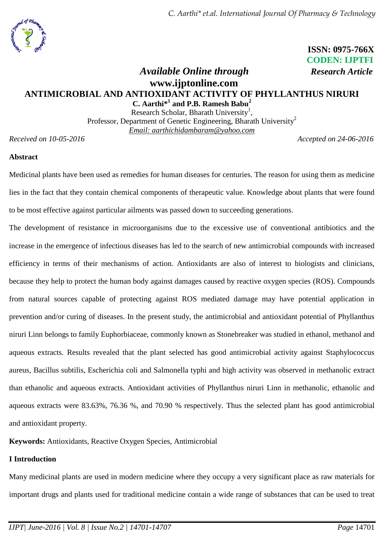# **ISSN: 0975-766X CODEN: IJPTFI**

# *Available Online through Research Article* **www.ijptonline.com ANTIMICROBIAL AND ANTIOXIDANT ACTIVITY OF PHYLLANTHUS NIRURI**

**C. Aarthi\* 1 and P.B. Ramesh Babu<sup>2</sup>** Research Scholar, Bharath University<sup>1</sup>, Professor, Department of Genetic Engineering, Bharath University<sup>2</sup> *Email: [aarthichidambaram@yahoo.com](mailto:aarthichidambaram@yahoo.com)*

*Received on 10-05-2016 Accepted on 24-06-2016*

## **Abstract**

Medicinal plants have been used as remedies for human diseases for centuries. The reason for using them as medicine lies in the fact that they contain chemical components of therapeutic value. Knowledge about plants that were found to be most effective against particular ailments was passed down to succeeding generations.

The development of resistance in microorganisms due to the excessive use of conventional antibiotics and the increase in the emergence of infectious diseases has led to the search of new antimicrobial compounds with increased efficiency in terms of their mechanisms of action. Antioxidants are also of interest to biologists and clinicians, because they help to protect the human body against damages caused by reactive oxygen species (ROS). Compounds from natural sources capable of protecting against ROS mediated damage may have potential application in prevention and/or curing of diseases. In the present study, the antimicrobial and antioxidant potential of Phyllanthus niruri Linn belongs to family Euphorbiaceae, commonly known as Stonebreaker was studied in ethanol, methanol and aqueous extracts. Results revealed that the plant selected has good antimicrobial activity against Staphylococcus aureus, Bacillus subtilis, Escherichia coli and Salmonella typhi and high activity was observed in methanolic extract than ethanolic and aqueous extracts. Antioxidant activities of Phyllanthus niruri Linn in methanolic, ethanolic and aqueous extracts were 83.63%, 76.36 %, and 70.90 % respectively. Thus the selected plant has good antimicrobial and antioxidant property.

**Keywords:** Antioxidants, Reactive Oxygen Species, Antimicrobial

## **I Introduction**

Many medicinal plants are used in modern medicine where they occupy a very significant place as raw materials for important drugs and plants used for traditional medicine contain a wide range of substances that can be used to treat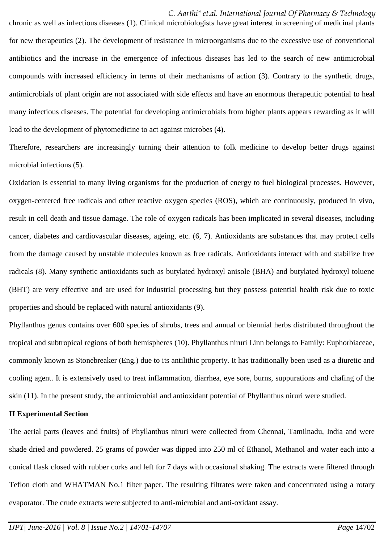#### *C. Aarthi\* et.al. International Journal Of Pharmacy & Technology*

chronic as well as infectious diseases (1). Clinical microbiologists have great interest in screening of medicinal plants for new therapeutics (2). The development of resistance in microorganisms due to the excessive use of conventional antibiotics and the increase in the emergence of infectious diseases has led to the search of new antimicrobial compounds with increased efficiency in terms of their mechanisms of action (3). Contrary to the synthetic drugs, antimicrobials of plant origin are not associated with side effects and have an enormous therapeutic potential to heal many infectious diseases. The potential for developing antimicrobials from higher plants appears rewarding as it will lead to the development of phytomedicine to act against microbes (4).

Therefore, researchers are increasingly turning their attention to folk medicine to develop better drugs against microbial infections (5).

Oxidation is essential to many living organisms for the production of energy to fuel biological processes. However, oxygen-centered free radicals and other reactive oxygen species (ROS), which are continuously, produced in vivo, result in cell death and tissue damage. The role of oxygen radicals has been implicated in several diseases, including cancer, diabetes and cardiovascular diseases, ageing, etc. (6, 7). Antioxidants are substances that may protect cells from the damage caused by unstable molecules known as free radicals. Antioxidants interact with and stabilize free radicals (8). Many synthetic antioxidants such as butylated hydroxyl anisole (BHA) and butylated hydroxyl toluene (BHT) are very effective and are used for industrial processing but they possess potential health risk due to toxic properties and should be replaced with natural antioxidants (9).

Phyllanthus genus contains over 600 species of shrubs, trees and annual or biennial herbs distributed throughout the tropical and subtropical regions of both hemispheres (10). Phyllanthus niruri Linn belongs to Family: Euphorbiaceae, commonly known as Stonebreaker (Eng.) due to its antilithic property. It has traditionally been used as a diuretic and cooling agent. It is extensively used to treat inflammation, diarrhea, eye sore, burns, suppurations and chafing of the skin (11). In the present study, the antimicrobial and antioxidant potential of Phyllanthus niruri were studied.

#### **II Experimental Section**

The aerial parts (leaves and fruits) of Phyllanthus niruri were collected from Chennai, Tamilnadu, India and were shade dried and powdered. 25 grams of powder was dipped into 250 ml of Ethanol, Methanol and water each into a conical flask closed with rubber corks and left for 7 days with occasional shaking. The extracts were filtered through Teflon cloth and WHATMAN No.1 filter paper. The resulting filtrates were taken and concentrated using a rotary evaporator. The crude extracts were subjected to anti-microbial and anti-oxidant assay.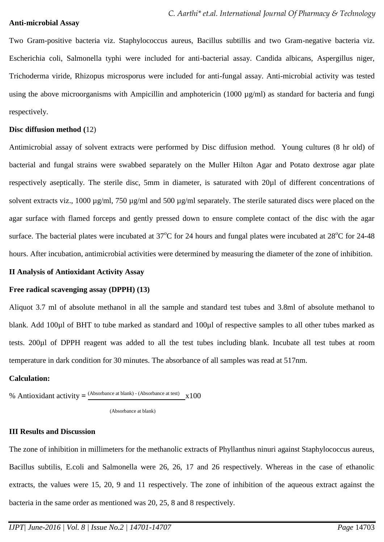#### **Anti-microbial Assay**

Two Gram-positive bacteria viz. Staphylococcus aureus, Bacillus subtillis and two Gram-negative bacteria viz. Escherichia coli, Salmonella typhi were included for anti-bacterial assay. Candida albicans, Aspergillus niger, Trichoderma viride, Rhizopus microsporus were included for anti-fungal assay. Anti-microbial activity was tested using the above microorganisms with Ampicillin and amphotericin (1000 µg/ml) as standard for bacteria and fungi respectively.

#### **Disc diffusion method (**12)

Antimicrobial assay of solvent extracts were performed by Disc diffusion method. Young cultures (8 hr old) of bacterial and fungal strains were swabbed separately on the Muller Hilton Agar and Potato dextrose agar plate respectively aseptically. The sterile disc, 5mm in diameter, is saturated with 20µl of different concentrations of solvent extracts viz., 1000  $\mu$ g/ml, 750  $\mu$ g/ml and 500  $\mu$ g/ml separately. The sterile saturated discs were placed on the agar surface with flamed forceps and gently pressed down to ensure complete contact of the disc with the agar surface. The bacterial plates were incubated at  $37^{\circ}$ C for 24 hours and fungal plates were incubated at  $28^{\circ}$ C for 24-48 hours. After incubation, antimicrobial activities were determined by measuring the diameter of the zone of inhibition.

#### **II Analysis of Antioxidant Activity Assay**

#### **Free radical scavenging assay (DPPH) (13)**

Aliquot 3.7 ml of absolute methanol in all the sample and standard test tubes and 3.8ml of absolute methanol to blank. Add 100µl of BHT to tube marked as standard and 100µl of respective samples to all other tubes marked as tests. 200µl of DPPH reagent was added to all the test tubes including blank. Incubate all test tubes at room temperature in dark condition for 30 minutes. The absorbance of all samples was read at 517nm.

#### **Calculation:**

% Antioxidant activity  $=$   $\frac{\text{(Absorbance at blank)} - \text{(Absorbance at test)}}{x100}$ 

(Absorbance at blank)

## **III Results and Discussion**

The zone of inhibition in millimeters for the methanolic extracts of Phyllanthus ninuri against Staphylococcus aureus, Bacillus subtilis, E.coli and Salmonella were 26, 26, 17 and 26 respectively. Whereas in the case of ethanolic extracts, the values were 15, 20, 9 and 11 respectively. The zone of inhibition of the aqueous extract against the bacteria in the same order as mentioned was 20, 25, 8 and 8 respectively.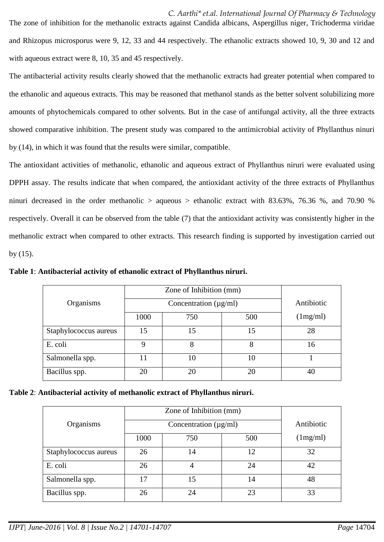*C. Aarthi\* et.al. International Journal Of Pharmacy & Technology* The zone of inhibition for the methanolic extracts against Candida albicans, Aspergillus niger, Trichoderma viridae and Rhizopus microsporus were 9, 12, 33 and 44 respectively. The ethanolic extracts showed 10, 9, 30 and 12 and with aqueous extract were 8, 10, 35 and 45 respectively.

The antibacterial activity results clearly showed that the methanolic extracts had greater potential when compared to the ethanolic and aqueous extracts. This may be reasoned that methanol stands as the better solvent solubilizing more amounts of phytochemicals compared to other solvents. But in the case of antifungal activity, all the three extracts showed comparative inhibition. The present study was compared to the antimicrobial activity of Phyllanthus ninuri by (14), in which it was found that the results were similar, compatible.

The antioxidant activities of methanolic, ethanolic and aqueous extract of Phyllanthus niruri were evaluated using DPPH assay. The results indicate that when compared, the antioxidant activity of the three extracts of Phyllanthus ninuri decreased in the order methanolic  $>$  aqueous  $>$  ethanolic extract with 83.63%, 76.36 %, and 70.90 % respectively. Overall it can be observed from the table (7) that the antioxidant activity was consistently higher in the methanolic extract when compared to other extracts. This research finding is supported by investigation carried out by (15).

**Table 1**: **Antibacterial activity of ethanolic extract of Phyllanthus niruri.**

| Organisms             |      | Antibiotic |     |          |
|-----------------------|------|------------|-----|----------|
|                       | 1000 | 750        | 500 | (1mg/ml) |
| Staphylococcus aureus | 15   | 15         | 15  | 28       |
| E. coli               | Q    | 8          | 8   | 16       |
| Salmonella spp.       |      | 10         | 10  |          |
| Bacillus spp.         | 20   | 20         | 20  |          |

|  | Table 2: Antibacterial activity of methanolic extract of Phyllanthus niruri. |  |  |  |  |  |
|--|------------------------------------------------------------------------------|--|--|--|--|--|
|  |                                                                              |  |  |  |  |  |

|                       |      | Zone of Inhibition (mm)    |     |          |
|-----------------------|------|----------------------------|-----|----------|
| Organisms             |      | Antibiotic                 |     |          |
|                       |      | Concentration $(\mu g/ml)$ |     |          |
|                       | 1000 | 750                        | 500 | (1mg/ml) |
| Staphylococcus aureus | 26   | 14                         | 12  | 32       |
| E. coli               | 26   |                            | 24  | 42       |
| Salmonella spp.       | 17   | 15                         | 14  | 48       |
| Bacillus spp.         | 26   | 24                         | 23  | 33       |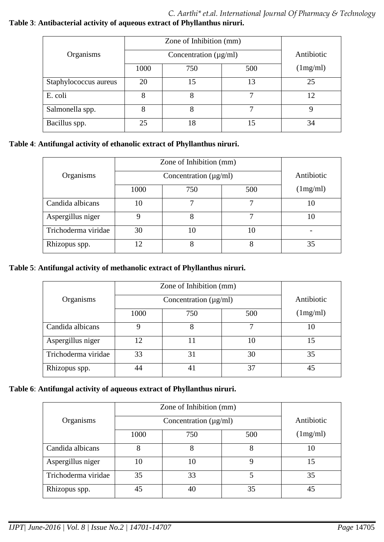## *C. Aarthi\* et.al. International Journal Of Pharmacy & Technology* **Table 3**: **Antibacterial activity of aqueous extract of Phyllanthus niruri.**

| Organisms             |      | Concentration $(\mu g/ml)$ |     |          |  |  |
|-----------------------|------|----------------------------|-----|----------|--|--|
|                       | 1000 | 750                        | 500 | (1mg/ml) |  |  |
| Staphylococcus aureus | 20   | 15                         | 13  | 25       |  |  |
| E. coli               | 8    |                            |     | 12       |  |  |
| Salmonella spp.       | 8    | 8                          | ┑   |          |  |  |
| Bacillus spp.         | 25   | 18                         | 15  | 34       |  |  |

## **Table 4**: **Antifungal activity of ethanolic extract of Phyllanthus niruri.**

|                     | Zone of Inhibition (mm) |            |     |          |
|---------------------|-------------------------|------------|-----|----------|
| Organisms           |                         | Antibiotic |     |          |
|                     | 1000                    | 750        | 500 | (1mg/ml) |
| Candida albicans    | 10                      |            | 7   |          |
| Aspergillus niger   |                         | 8          | 7   | l ()     |
| Trichoderma viridae | 30                      | 10         | 10  |          |
| Rhizopus spp.       | 12                      | 8          | 8   | 35       |

## **Table 5**: **Antifungal activity of methanolic extract of Phyllanthus niruri.**

|                     |      | Zone of Inhibition (mm) |     |          |
|---------------------|------|-------------------------|-----|----------|
| Organisms           |      | Antibiotic              |     |          |
|                     | 1000 | 750                     | 500 | (1mg/ml) |
| Candida albicans    | 9    |                         | 7   | 10       |
| Aspergillus niger   | 12   |                         | 10  | 15       |
| Trichoderma viridae | 33   | 31                      | 30  | 35       |
| Rhizopus spp.       | 44   | 41                      | 37  | 45       |

## **Table 6**: **Antifungal activity of aqueous extract of Phyllanthus niruri.**

|                     |                            | Zone of Inhibition (mm) |     |            |
|---------------------|----------------------------|-------------------------|-----|------------|
| Organisms           | Concentration $(\mu g/ml)$ |                         |     | Antibiotic |
|                     | 1000                       | 750                     | 500 | (1mg/ml)   |
| Candida albicans    | 8                          | 8                       | 8   | 10         |
| Aspergillus niger   | 10                         | 10                      | 9   | 15         |
| Trichoderma viridae | 35                         | 33                      | 5   | 35         |
| Rhizopus spp.       | 45                         | 40                      | 35  | 45         |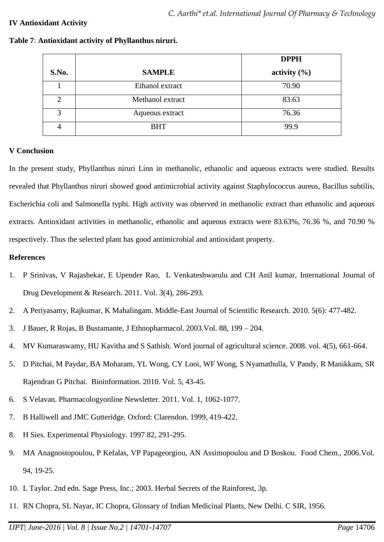## **IV Antioxidant Activity**

|       |                  | <b>DPPH</b>      |
|-------|------------------|------------------|
| S.No. | <b>SAMPLE</b>    | activity $(\% )$ |
|       | Ethanol extract  | 70.90            |
|       | Methanol extract | 83.63            |
| 3     | Aqueous extract  | 76.36            |
|       | <b>BHT</b>       | 99.9             |

#### **Table 7**: **Antioxidant activity of Phyllanthus niruri.**

#### **V Conclusion**

In the present study, Phyllanthus niruri Linn in methanolic, ethanolic and aqueous extracts were studied. Results revealed that Phyllanthus niruri showed good antimicrobial activity against Staphylococcus aureus, Bacillus subtilis, Escherichia coli and Salmonella typhi. High activity was observed in methanolic extract than ethanolic and aqueous extracts. Antioxidant activities in methanolic, ethanolic and aqueous extracts were 83.63%, 76.36 %, and 70.90 % respectively. Thus the selected plant has good antimicrobial and antioxidant property.

## **References**

- 1. P Srinivas, V Rajashekar, E Upender Rao, L Venkateshwarulu and CH Anil kumar, International Journal of Drug Development & Research. 2011. Vol. 3(4), 286-293.
- 2. A Periyasamy, Rajkumar, K Mahalingam. Middle-East Journal of Scientific Research. 2010. 5(6): 477-482.
- 3. J Bauer, R Rojas, B Bustamante, J Ethnopharmacol. 2003.Vol. 88, 199 204.
- 4. MV Kumaraswamy, HU Kavitha and S Sathish. Word journal of agricultural science. 2008. vol. 4(5), 661-664.
- 5. D Pitchai, M Paydar, BA Moharam, YL Wong, CY Looi, WF Wong, S Nyamathulla, V Pandy, R Manikkam, SR Rajendran G Pitchai. Bioinformation. 2010. Vol. 5, 43-45.
- 6. S Velavan. Pharmacologyonline Newsletter. 2011. Vol. 1, 1062-1077.
- 7. B Halliwell and JMC Gutteridge. Oxford: Clarendon. 1999, 419-422.
- 8. H Sies. Experimental Physiology. 1997 82, 291-295.
- 9. MA Anagnostopoulou, P Kefalas, VP Papageorgiou, AN Assimopoulou and D Boskou. Food Chem., 2006.Vol. 94, 19-25.
- 10. L Taylor. 2nd edn. Sage Press, Inc.; 2003. Herbal Secrets of the Rainforest, 3p.
- 11. RN Chopra, SL Nayar, IC Chopra, Glossary of Indian Medicinal Plants, New Delhi. C SIR, 1956.